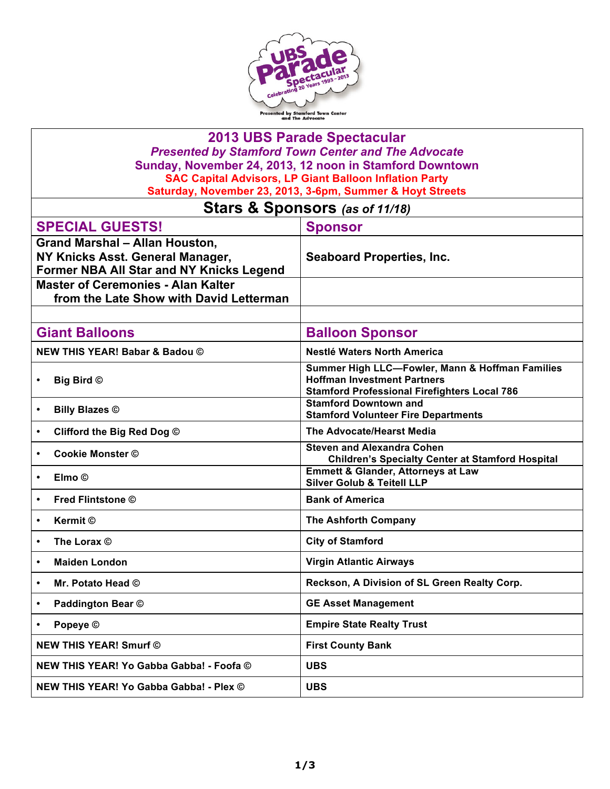

| <b>2013 UBS Parade Spectacular</b><br><b>Presented by Stamford Town Center and The Advocate</b><br>Sunday, November 24, 2013, 12 noon in Stamford Downtown<br><b>SAC Capital Advisors, LP Giant Balloon Inflation Party</b> |                                                                                                                                              |  |  |
|-----------------------------------------------------------------------------------------------------------------------------------------------------------------------------------------------------------------------------|----------------------------------------------------------------------------------------------------------------------------------------------|--|--|
| Saturday, November 23, 2013, 3-6pm, Summer & Hoyt Streets                                                                                                                                                                   |                                                                                                                                              |  |  |
| Stars & Sponsors (as of 11/18)                                                                                                                                                                                              |                                                                                                                                              |  |  |
| <b>SPECIAL GUESTS!</b><br><b>Grand Marshal - Allan Houston,</b>                                                                                                                                                             | <b>Sponsor</b>                                                                                                                               |  |  |
| NY Knicks Asst. General Manager,<br>Former NBA All Star and NY Knicks Legend                                                                                                                                                | <b>Seaboard Properties, Inc.</b>                                                                                                             |  |  |
| <b>Master of Ceremonies - Alan Kalter</b><br>from the Late Show with David Letterman                                                                                                                                        |                                                                                                                                              |  |  |
|                                                                                                                                                                                                                             |                                                                                                                                              |  |  |
| <b>Giant Balloons</b>                                                                                                                                                                                                       | <b>Balloon Sponsor</b>                                                                                                                       |  |  |
| <b>NEW THIS YEAR! Babar &amp; Badou ©</b>                                                                                                                                                                                   | Nestlé Waters North America                                                                                                                  |  |  |
| <b>Big Bird ©</b><br>$\bullet$                                                                                                                                                                                              | Summer High LLC-Fowler, Mann & Hoffman Families<br><b>Hoffman Investment Partners</b><br><b>Stamford Professional Firefighters Local 786</b> |  |  |
| <b>Billy Blazes ©</b>                                                                                                                                                                                                       | <b>Stamford Downtown and</b><br><b>Stamford Volunteer Fire Departments</b>                                                                   |  |  |
| Clifford the Big Red Dog ©                                                                                                                                                                                                  | <b>The Advocate/Hearst Media</b>                                                                                                             |  |  |
| <b>Cookie Monster ©</b><br>$\bullet$                                                                                                                                                                                        | <b>Steven and Alexandra Cohen</b><br><b>Children's Specialty Center at Stamford Hospital</b>                                                 |  |  |
| Elmo ©<br>$\bullet$                                                                                                                                                                                                         | <b>Emmett &amp; Glander, Attorneys at Law</b><br><b>Silver Golub &amp; Teitell LLP</b>                                                       |  |  |
| <b>Fred Flintstone ©</b><br>$\bullet$                                                                                                                                                                                       | <b>Bank of America</b>                                                                                                                       |  |  |
| <b>Kermit</b> ©<br>$\bullet$                                                                                                                                                                                                | <b>The Ashforth Company</b>                                                                                                                  |  |  |
| The Lorax ©                                                                                                                                                                                                                 | <b>City of Stamford</b>                                                                                                                      |  |  |
| <b>Maiden London</b><br>$\bullet$                                                                                                                                                                                           | <b>Virgin Atlantic Airways</b>                                                                                                               |  |  |
| Mr. Potato Head ©<br>$\bullet$                                                                                                                                                                                              | Reckson, A Division of SL Green Realty Corp.                                                                                                 |  |  |
| Paddington Bear ©<br>$\bullet$                                                                                                                                                                                              | <b>GE Asset Management</b>                                                                                                                   |  |  |
| Popeye ©<br>$\bullet$                                                                                                                                                                                                       | <b>Empire State Realty Trust</b>                                                                                                             |  |  |
| <b>NEW THIS YEAR! Smurf ©</b>                                                                                                                                                                                               | <b>First County Bank</b>                                                                                                                     |  |  |
| NEW THIS YEAR! Yo Gabba Gabba! - Foofa ©                                                                                                                                                                                    | <b>UBS</b>                                                                                                                                   |  |  |
| NEW THIS YEAR! Yo Gabba Gabba! - Plex ©                                                                                                                                                                                     | <b>UBS</b>                                                                                                                                   |  |  |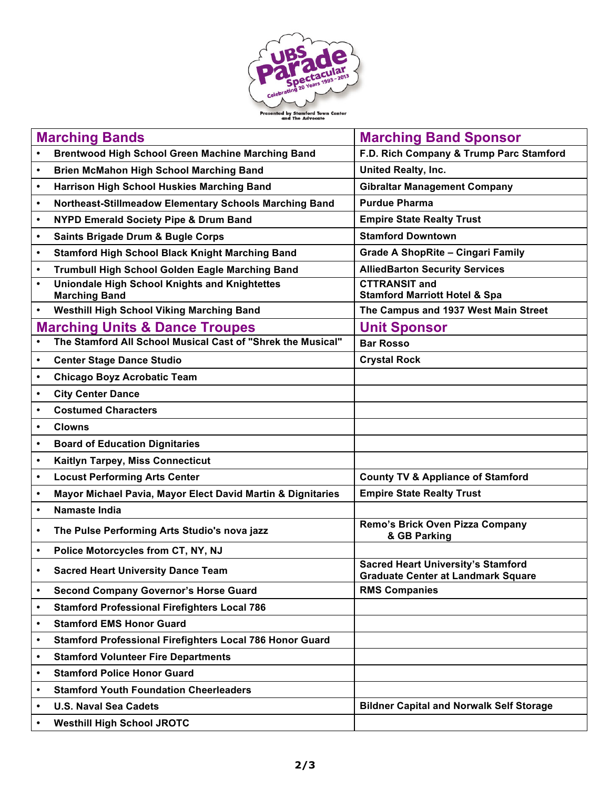

| <b>Marching Bands</b>                                                                                    | <b>Marching Band Sponsor</b>                                                    |
|----------------------------------------------------------------------------------------------------------|---------------------------------------------------------------------------------|
| <b>Brentwood High School Green Machine Marching Band</b><br>$\bullet$                                    | F.D. Rich Company & Trump Parc Stamford                                         |
| <b>Brien McMahon High School Marching Band</b><br>$\bullet$                                              | <b>United Realty, Inc.</b>                                                      |
| Harrison High School Huskies Marching Band<br>$\bullet$                                                  | <b>Gibraltar Management Company</b>                                             |
| Northeast-Stillmeadow Elementary Schools Marching Band<br>$\bullet$                                      | <b>Purdue Pharma</b>                                                            |
| <b>NYPD Emerald Society Pipe &amp; Drum Band</b><br>$\bullet$                                            | <b>Empire State Realty Trust</b>                                                |
| <b>Saints Brigade Drum &amp; Bugle Corps</b><br>$\bullet$                                                | <b>Stamford Downtown</b>                                                        |
| <b>Stamford High School Black Knight Marching Band</b><br>$\bullet$                                      | <b>Grade A ShopRite - Cingari Family</b>                                        |
| Trumbull High School Golden Eagle Marching Band<br>$\bullet$                                             | <b>AlliedBarton Security Services</b>                                           |
| <b>Uniondale High School Knights and Knightettes</b><br>$\bullet$                                        | <b>CTTRANSIT and</b>                                                            |
| <b>Marching Band</b>                                                                                     | <b>Stamford Marriott Hotel &amp; Spa</b>                                        |
| <b>Westhill High School Viking Marching Band</b><br>$\bullet$                                            | The Campus and 1937 West Main Street                                            |
| <b>Marching Units &amp; Dance Troupes</b><br>The Stamford All School Musical Cast of "Shrek the Musical" | <b>Unit Sponsor</b>                                                             |
|                                                                                                          | <b>Bar Rosso</b>                                                                |
| <b>Center Stage Dance Studio</b><br>$\bullet$                                                            | <b>Crystal Rock</b>                                                             |
| <b>Chicago Boyz Acrobatic Team</b><br>$\bullet$                                                          |                                                                                 |
| <b>City Center Dance</b><br>$\bullet$                                                                    |                                                                                 |
| <b>Costumed Characters</b><br>$\bullet$                                                                  |                                                                                 |
| <b>Clowns</b><br>$\bullet$                                                                               |                                                                                 |
| <b>Board of Education Dignitaries</b><br>$\bullet$                                                       |                                                                                 |
| Kaitlyn Tarpey, Miss Connecticut<br>$\bullet$                                                            |                                                                                 |
| <b>Locust Performing Arts Center</b><br>$\bullet$                                                        | <b>County TV &amp; Appliance of Stamford</b>                                    |
| Mayor Michael Pavia, Mayor Elect David Martin & Dignitaries<br>$\bullet$                                 | <b>Empire State Realty Trust</b>                                                |
| <b>Namaste India</b><br>$\bullet$                                                                        |                                                                                 |
| The Pulse Performing Arts Studio's nova jazz<br>$\bullet$                                                | Remo's Brick Oven Pizza Company<br>& GB Parking                                 |
| Police Motorcycles from CT, NY, NJ<br>$\bullet$                                                          |                                                                                 |
| <b>Sacred Heart University Dance Team</b>                                                                | <b>Sacred Heart University's Stamford</b><br>Graduate Center at Landmark Square |
| <b>Second Company Governor's Horse Guard</b><br>$\bullet$                                                | <b>RMS Companies</b>                                                            |
| <b>Stamford Professional Firefighters Local 786</b><br>$\bullet$                                         |                                                                                 |
| <b>Stamford EMS Honor Guard</b><br>$\bullet$                                                             |                                                                                 |
| <b>Stamford Professional Firefighters Local 786 Honor Guard</b><br>$\bullet$                             |                                                                                 |
| <b>Stamford Volunteer Fire Departments</b><br>$\bullet$                                                  |                                                                                 |
| <b>Stamford Police Honor Guard</b><br>$\bullet$                                                          |                                                                                 |
| <b>Stamford Youth Foundation Cheerleaders</b><br>$\bullet$                                               |                                                                                 |
| <b>U.S. Naval Sea Cadets</b><br>$\bullet$                                                                | <b>Bildner Capital and Norwalk Self Storage</b>                                 |
| <b>Westhill High School JROTC</b><br>$\bullet$                                                           |                                                                                 |